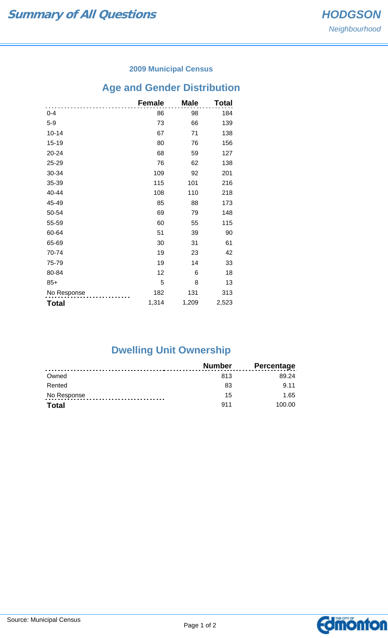#### **2009 Municipal Census**

# **Age and Gender Distribution**

|              | <b>Female</b> | <b>Male</b> | Total |
|--------------|---------------|-------------|-------|
| $0 - 4$      | 86            | 98          | 184   |
| $5-9$        | 73            | 66          | 139   |
| $10 - 14$    | 67            | 71          | 138   |
| $15 - 19$    | 80            | 76          | 156   |
| 20-24        | 68            | 59          | 127   |
| 25-29        | 76            | 62          | 138   |
| 30-34        | 109           | 92          | 201   |
| 35-39        | 115           | 101         | 216   |
| 40-44        | 108           | 110         | 218   |
| 45-49        | 85            | 88          | 173   |
| 50-54        | 69            | 79          | 148   |
| 55-59        | 60            | 55          | 115   |
| 60-64        | 51            | 39          | 90    |
| 65-69        | 30            | 31          | 61    |
| 70-74        | 19            | 23          | 42    |
| 75-79        | 19            | 14          | 33    |
| 80-84        | 12            | 6           | 18    |
| $85+$        | 5             | 8           | 13    |
| No Response  | 182           | 131         | 313   |
| <b>Total</b> | 1,314         | 1,209       | 2,523 |

## **Dwelling Unit Ownership**

|              | Number | <b>Percentage</b> |
|--------------|--------|-------------------|
| Owned        | 813    | 89.24             |
| Rented       | 83     | 9 1 1             |
| No Response  | 15     | 1.65              |
| <b>Total</b> | 911    | 100.00            |